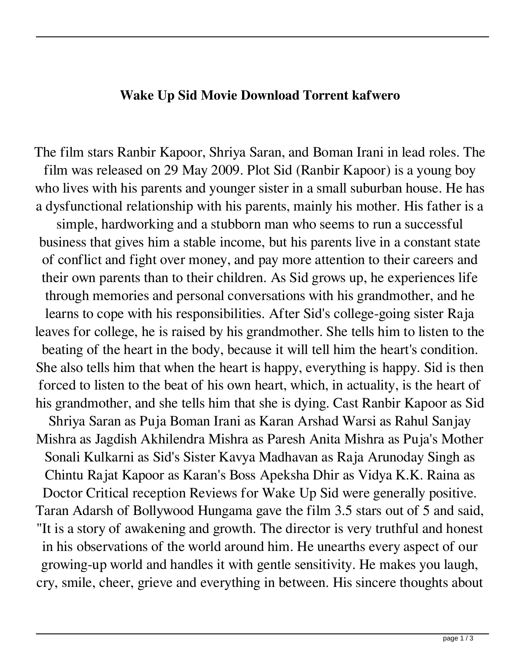## **Wake Up Sid Movie Download Torrent kafwero**

The film stars Ranbir Kapoor, Shriya Saran, and Boman Irani in lead roles. The film was released on 29 May 2009. Plot Sid (Ranbir Kapoor) is a young boy who lives with his parents and younger sister in a small suburban house. He has a dysfunctional relationship with his parents, mainly his mother. His father is a

simple, hardworking and a stubborn man who seems to run a successful business that gives him a stable income, but his parents live in a constant state of conflict and fight over money, and pay more attention to their careers and their own parents than to their children. As Sid grows up, he experiences life through memories and personal conversations with his grandmother, and he learns to cope with his responsibilities. After Sid's college-going sister Raja leaves for college, he is raised by his grandmother. She tells him to listen to the beating of the heart in the body, because it will tell him the heart's condition. She also tells him that when the heart is happy, everything is happy. Sid is then forced to listen to the beat of his own heart, which, in actuality, is the heart of his grandmother, and she tells him that she is dying. Cast Ranbir Kapoor as Sid

Shriya Saran as Puja Boman Irani as Karan Arshad Warsi as Rahul Sanjay Mishra as Jagdish Akhilendra Mishra as Paresh Anita Mishra as Puja's Mother Sonali Kulkarni as Sid's Sister Kavya Madhavan as Raja Arunoday Singh as Chintu Rajat Kapoor as Karan's Boss Apeksha Dhir as Vidya K.K. Raina as Doctor Critical reception Reviews for Wake Up Sid were generally positive. Taran Adarsh of Bollywood Hungama gave the film 3.5 stars out of 5 and said, "It is a story of awakening and growth. The director is very truthful and honest in his observations of the world around him. He unearths every aspect of our growing-up world and handles it with gentle sensitivity. He makes you laugh, cry, smile, cheer, grieve and everything in between. His sincere thoughts about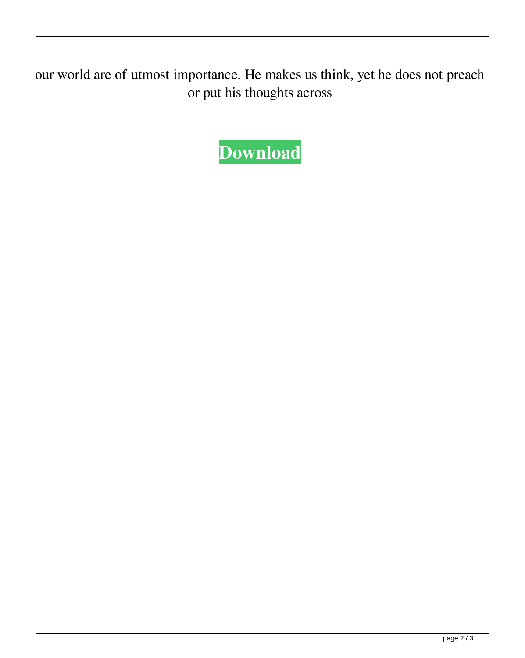our world are of utmost importance. He makes us think, yet he does not preach or put his thoughts across